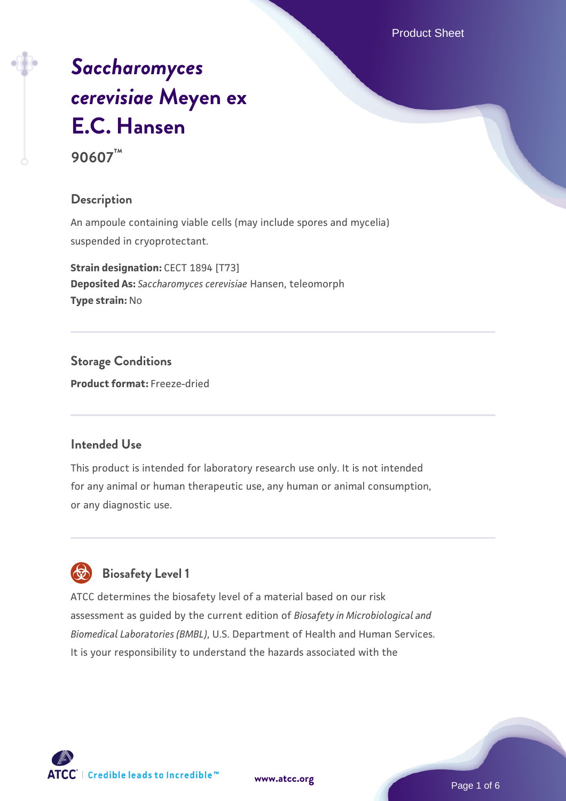Product Sheet

# *[Saccharomyces](https://www.atcc.org/products/90607) [cerevisiae](https://www.atcc.org/products/90607)* **[Meyen ex](https://www.atcc.org/products/90607) [E.C. Hansen](https://www.atcc.org/products/90607) 90607™**

# **Description**

An ampoule containing viable cells (may include spores and mycelia) suspended in cryoprotectant.

**Strain designation: CECT 1894 [T73] Deposited As:** *Saccharomyces cerevisiae* Hansen, teleomorph **Type strain:** No

**Storage Conditions Product format:** Freeze-dried

## **Intended Use**

This product is intended for laboratory research use only. It is not intended for any animal or human therapeutic use, any human or animal consumption, or any diagnostic use.



# **Biosafety Level 1**

ATCC determines the biosafety level of a material based on our risk assessment as guided by the current edition of *Biosafety in Microbiological and Biomedical Laboratories (BMBL)*, U.S. Department of Health and Human Services. It is your responsibility to understand the hazards associated with the



**[www.atcc.org](http://www.atcc.org)**

Page 1 of 6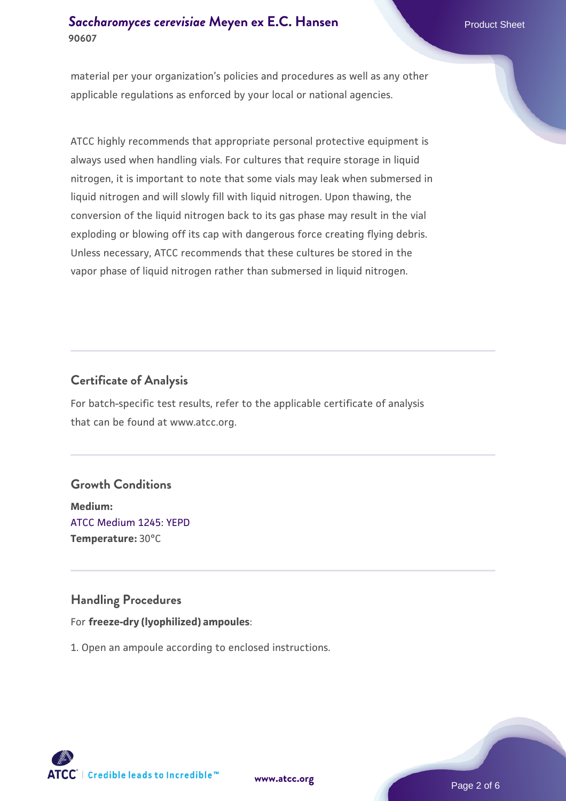# **[Saccharomyces cerevisiae](https://www.atcc.org/products/90607)** [Meyen ex E.C. Hansen](https://www.atcc.org/products/90607) **90607**

material per your organization's policies and procedures as well as any other applicable regulations as enforced by your local or national agencies.

ATCC highly recommends that appropriate personal protective equipment is always used when handling vials. For cultures that require storage in liquid nitrogen, it is important to note that some vials may leak when submersed in liquid nitrogen and will slowly fill with liquid nitrogen. Upon thawing, the conversion of the liquid nitrogen back to its gas phase may result in the vial exploding or blowing off its cap with dangerous force creating flying debris. Unless necessary, ATCC recommends that these cultures be stored in the vapor phase of liquid nitrogen rather than submersed in liquid nitrogen.

# **Certificate of Analysis**

For batch-specific test results, refer to the applicable certificate of analysis that can be found at www.atcc.org.

# **Growth Conditions**

**Medium:**  [ATCC Medium 1245: YEPD](https://www.atcc.org/-/media/product-assets/documents/microbial-media-formulations/1/2/4/5/atcc-medium-1245.pdf?rev=705ca55d1b6f490a808a965d5c072196) **Temperature:** 30°C

## **Handling Procedures**

#### For **freeze-dry (lyophilized) ampoules**:

1. Open an ampoule according to enclosed instructions.

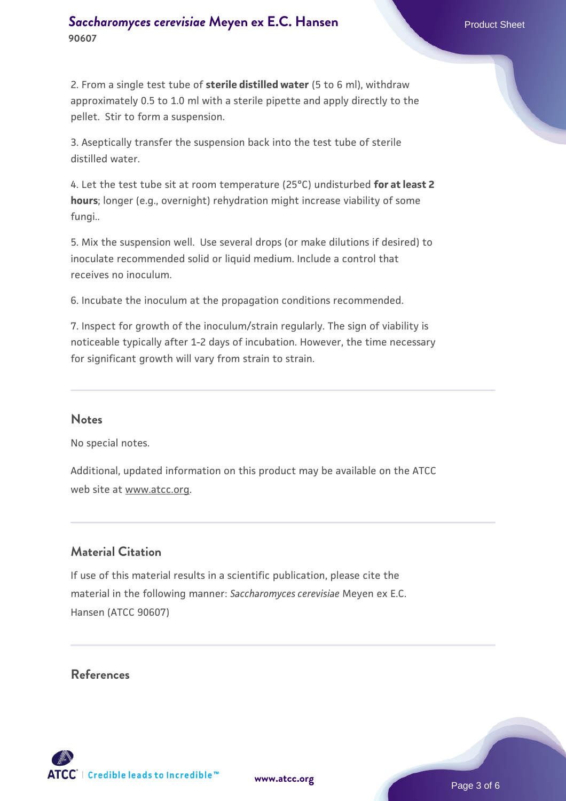## **[Saccharomyces cerevisiae](https://www.atcc.org/products/90607)** [Meyen ex E.C. Hansen](https://www.atcc.org/products/90607) **90607**

2. From a single test tube of **sterile distilled water** (5 to 6 ml), withdraw approximately 0.5 to 1.0 ml with a sterile pipette and apply directly to the pellet. Stir to form a suspension.

3. Aseptically transfer the suspension back into the test tube of sterile distilled water.

4. Let the test tube sit at room temperature (25°C) undisturbed **for at least 2 hours**; longer (e.g., overnight) rehydration might increase viability of some fungi..

5. Mix the suspension well. Use several drops (or make dilutions if desired) to inoculate recommended solid or liquid medium. Include a control that receives no inoculum.

6. Incubate the inoculum at the propagation conditions recommended.

7. Inspect for growth of the inoculum/strain regularly. The sign of viability is noticeable typically after 1-2 days of incubation. However, the time necessary for significant growth will vary from strain to strain.

#### **Notes**

No special notes.

Additional, updated information on this product may be available on the ATCC web site at www.atcc.org.

# **Material Citation**

If use of this material results in a scientific publication, please cite the material in the following manner: *Saccharomyces cerevisiae* Meyen ex E.C. Hansen (ATCC 90607)

## **References**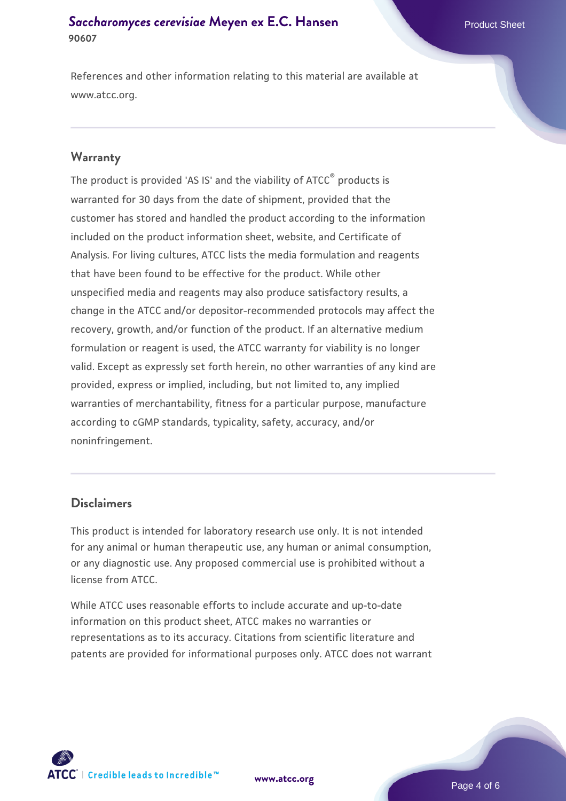# **[Saccharomyces cerevisiae](https://www.atcc.org/products/90607)** [Meyen ex E.C. Hansen](https://www.atcc.org/products/90607) **90607**

References and other information relating to this material are available at www.atcc.org.

#### **Warranty**

The product is provided 'AS IS' and the viability of ATCC® products is warranted for 30 days from the date of shipment, provided that the customer has stored and handled the product according to the information included on the product information sheet, website, and Certificate of Analysis. For living cultures, ATCC lists the media formulation and reagents that have been found to be effective for the product. While other unspecified media and reagents may also produce satisfactory results, a change in the ATCC and/or depositor-recommended protocols may affect the recovery, growth, and/or function of the product. If an alternative medium formulation or reagent is used, the ATCC warranty for viability is no longer valid. Except as expressly set forth herein, no other warranties of any kind are provided, express or implied, including, but not limited to, any implied warranties of merchantability, fitness for a particular purpose, manufacture according to cGMP standards, typicality, safety, accuracy, and/or noninfringement.

## **Disclaimers**

This product is intended for laboratory research use only. It is not intended for any animal or human therapeutic use, any human or animal consumption, or any diagnostic use. Any proposed commercial use is prohibited without a license from ATCC.

While ATCC uses reasonable efforts to include accurate and up-to-date information on this product sheet, ATCC makes no warranties or representations as to its accuracy. Citations from scientific literature and patents are provided for informational purposes only. ATCC does not warrant



**[www.atcc.org](http://www.atcc.org)**

Page 4 of 6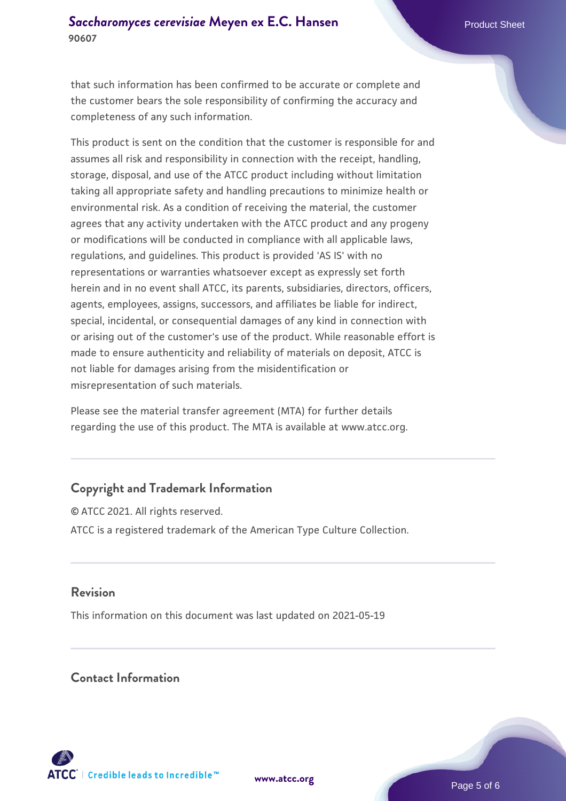that such information has been confirmed to be accurate or complete and the customer bears the sole responsibility of confirming the accuracy and completeness of any such information.

This product is sent on the condition that the customer is responsible for and assumes all risk and responsibility in connection with the receipt, handling, storage, disposal, and use of the ATCC product including without limitation taking all appropriate safety and handling precautions to minimize health or environmental risk. As a condition of receiving the material, the customer agrees that any activity undertaken with the ATCC product and any progeny or modifications will be conducted in compliance with all applicable laws, regulations, and guidelines. This product is provided 'AS IS' with no representations or warranties whatsoever except as expressly set forth herein and in no event shall ATCC, its parents, subsidiaries, directors, officers, agents, employees, assigns, successors, and affiliates be liable for indirect, special, incidental, or consequential damages of any kind in connection with or arising out of the customer's use of the product. While reasonable effort is made to ensure authenticity and reliability of materials on deposit, ATCC is not liable for damages arising from the misidentification or misrepresentation of such materials.

Please see the material transfer agreement (MTA) for further details regarding the use of this product. The MTA is available at www.atcc.org.

# **Copyright and Trademark Information**

© ATCC 2021. All rights reserved. ATCC is a registered trademark of the American Type Culture Collection.

# **Revision**

This information on this document was last updated on 2021-05-19

# **Contact Information**



**[www.atcc.org](http://www.atcc.org)**